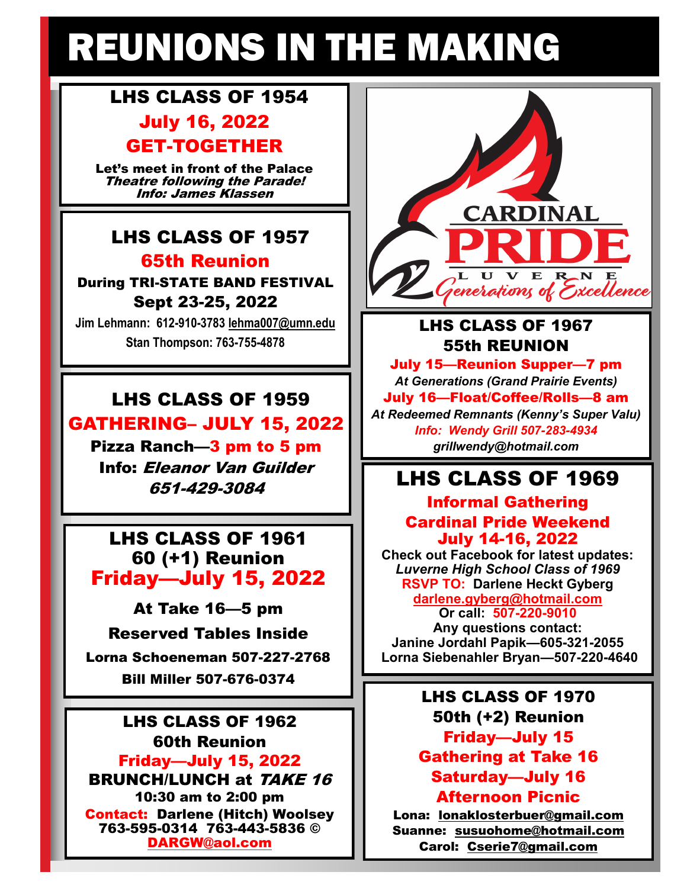# REUNIONS IN THE MAKING

## LHS CLASS OF 1954

### July 16, 2022 GET-TOGETHER

Let's meet in front of the Palace Theatre following the Parade! Info: James Klassen

# LHS CLASS OF 1957

### 65th Reunion

During TRI-STATE BAND FESTIVAL Sept 23-25, 2022

**Jim Lehmann: 612-910-3783 lehma007@umn.edu Stan Thompson: 763-755-4878** 

## LHS CLASS OF 1959 GATHERING– JULY 15, 2022

Pizza Ranch—3 pm to 5 pm Info: Eleanor Van Guilder 651-429-3084

### LHS CLASS OF 1961 60 (+1) Reunion Friday—July 15, 2022

At Take 16—5 pm

### Reserved Tables Inside

Lorna Schoeneman 507-227-2768 Bill Miller 507-676-0374

## LHS CLASS OF 1962 60th Reunion

Friday—July 15, 2022 BRUNCH/LUNCH at TAKE 16 10:30 am to 2:00 pm Contact: Darlene (Hitch) Woolsey 763-595-0314 763-443-5836 © DARGW@aol.com



## LHS CLASS OF 1967 55th REUNION

July 15—Reunion Supper—7 pm *At Generations (Grand Prairie Events)* July 16—Float/Coffee/Rolls—8 am *At Redeemed Remnants (Kenny's Super Valu) Info: Wendy Grill 507-283-4934 grillwendy@hotmail.com* 

## LHS CLASS OF 1969

### Informal Gathering Cardinal Pride Weekend July 14-16, 2022

**Check out Facebook for latest updates:**  *Luverne High School Class of 1969* **RSVP TO: Darlene Heckt Gyberg darlene.gyberg@hotmail.com Or call: 507-220-9010 Any questions contact:** 

**Janine Jordahl Papik—605-321-2055 Lorna Siebenahler Bryan—507-220-4640**

### LHS CLASS OF 1970 50th (+2) Reunion Friday—July 15 Gathering at Take 16 Saturday—July 16 Afternoon Picnic

Lona: lonaklosterbuer@gmail.com Suanne: susuohome@hotmail.com Carol: Cserie7@gmail.com